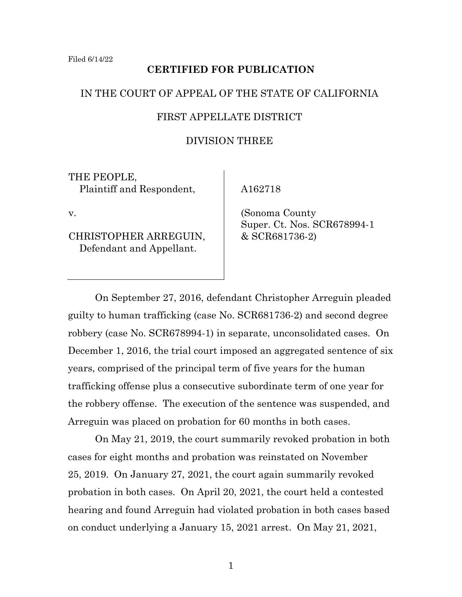## **CERTIFIED FOR PUBLICATION**

### IN THE COURT OF APPEAL OF THE STATE OF CALIFORNIA

### FIRST APPELLATE DISTRICT

## DIVISION THREE

THE PEOPLE, Plaintiff and Respondent,

A162718

v.

CHRISTOPHER ARREGUIN, Defendant and Appellant.

 (Sonoma County Super. Ct. Nos. SCR678994-1 & SCR681736-2)

On September 27, 2016, defendant Christopher Arreguin pleaded guilty to human trafficking (case No. SCR681736-2) and second degree robbery (case No. SCR678994-1) in separate, unconsolidated cases. On December 1, 2016, the trial court imposed an aggregated sentence of six years, comprised of the principal term of five years for the human trafficking offense plus a consecutive subordinate term of one year for the robbery offense. The execution of the sentence was suspended, and Arreguin was placed on probation for 60 months in both cases.

On May 21, 2019, the court summarily revoked probation in both cases for eight months and probation was reinstated on November 25, 2019. On January 27, 2021, the court again summarily revoked probation in both cases. On April 20, 2021, the court held a contested hearing and found Arreguin had violated probation in both cases based on conduct underlying a January 15, 2021 arrest. On May 21, 2021,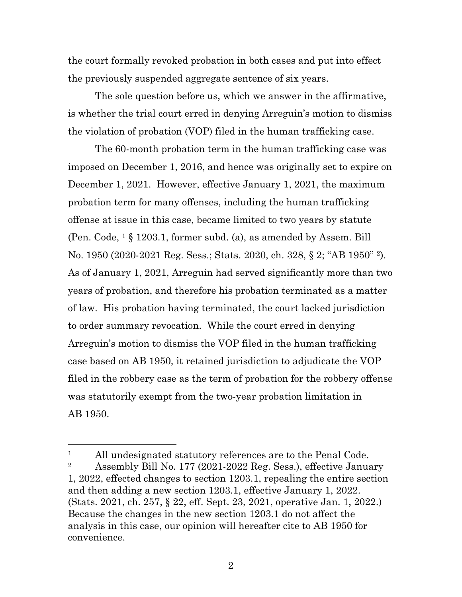the court formally revoked probation in both cases and put into effect the previously suspended aggregate sentence of six years.

The sole question before us, which we answer in the affirmative, is whether the trial court erred in denying Arreguin's motion to dismiss the violation of probation (VOP) filed in the human trafficking case.

The 60-month probation term in the human trafficking case was imposed on December 1, 2016, and hence was originally set to expire on December 1, 2021. However, effective January 1, 2021, the maximum probation term for many offenses, including the human trafficking offense at issue in this case, became limited to two years by statute (Pen. Code,  $1 \S 1203.1$ , former subd. (a), as amended by Assem. Bill No. 1950 (2020-2021 Reg. Sess.; Stats. 2020, ch. 328, § 2; "AB 1950" <sup>2</sup>). As of January 1, 2021, Arreguin had served significantly more than two years of probation, and therefore his probation terminated as a matter of law. His probation having terminated, the court lacked jurisdiction to order summary revocation. While the court erred in denying Arreguin's motion to dismiss the VOP filed in the human trafficking case based on AB 1950, it retained jurisdiction to adjudicate the VOP filed in the robbery case as the term of probation for the robbery offense was statutorily exempt from the two-year probation limitation in AB 1950.

<sup>&</sup>lt;sup>1</sup> All undesignated statutory references are to the Penal Code. <sup>2</sup> Assembly Bill No. 177 (2021-2022 Reg. Sess.), effective January 1, 2022, effected changes to section 1203.1, repealing the entire section and then adding a new section 1203.1, effective January 1, 2022. (Stats. 2021, ch. 257, § 22, eff. Sept. 23, 2021, operative Jan. 1, 2022.) Because the changes in the new section 1203.1 do not affect the analysis in this case, our opinion will hereafter cite to AB 1950 for convenience.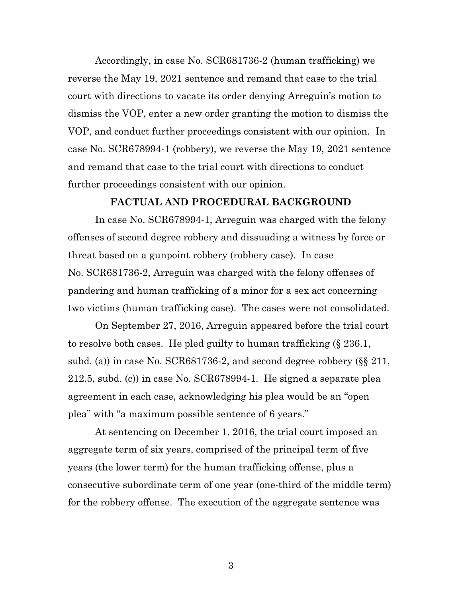Accordingly, in case No. SCR681736-2 (human trafficking) we reverse the May 19, 2021 sentence and remand that case to the trial court with directions to vacate its order denying Arreguin's motion to dismiss the VOP, enter a new order granting the motion to dismiss the VOP, and conduct further proceedings consistent with our opinion. In case No. SCR678994-1 (robbery), we reverse the May 19, 2021 sentence and remand that case to the trial court with directions to conduct further proceedings consistent with our opinion.

#### **FACTUAL AND PROCEDURAL BACKGROUND**

In case No. SCR678994-1, Arreguin was charged with the felony offenses of second degree robbery and dissuading a witness by force or threat based on a gunpoint robbery (robbery case). In case No. SCR681736-2, Arreguin was charged with the felony offenses of pandering and human trafficking of a minor for a sex act concerning two victims (human trafficking case). The cases were not consolidated.

On September 27, 2016, Arreguin appeared before the trial court to resolve both cases. He pled guilty to human trafficking (§ 236.1, subd. (a)) in case No. SCR681736-2, and second degree robbery (§§ 211, 212.5, subd. (c)) in case No. SCR678994-1. He signed a separate plea agreement in each case, acknowledging his plea would be an "open plea" with "a maximum possible sentence of 6 years."

At sentencing on December 1, 2016, the trial court imposed an aggregate term of six years, comprised of the principal term of five years (the lower term) for the human trafficking offense, plus a consecutive subordinate term of one year (one-third of the middle term) for the robbery offense. The execution of the aggregate sentence was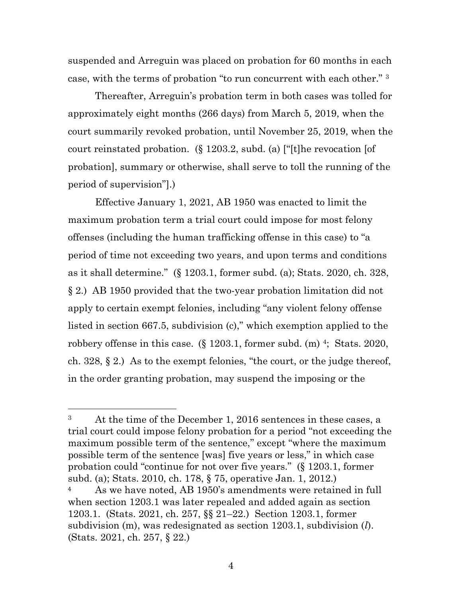suspended and Arreguin was placed on probation for 60 months in each case, with the terms of probation "to run concurrent with each other." <sup>3</sup>

Thereafter, Arreguin's probation term in both cases was tolled for approximately eight months (266 days) from March 5, 2019, when the court summarily revoked probation, until November 25, 2019, when the court reinstated probation.  $(\S 1203.2, \S 1203.2)$  (a) ["[t]he revocation [of probation], summary or otherwise, shall serve to toll the running of the period of supervision"].)

Effective January 1, 2021, AB 1950 was enacted to limit the maximum probation term a trial court could impose for most felony offenses (including the human trafficking offense in this case) to "a period of time not exceeding two years, and upon terms and conditions as it shall determine." (§ 1203.1, former subd. (a); Stats. 2020, ch. 328, § 2.) AB 1950 provided that the two-year probation limitation did not apply to certain exempt felonies, including "any violent felony offense listed in section 667.5, subdivision (c)," which exemption applied to the robbery offense in this case. (§ 1203.1, former subd. (m)<sup>4</sup>; Stats. 2020, ch. 328, § 2.) As to the exempt felonies, "the court, or the judge thereof, in the order granting probation, may suspend the imposing or the

<sup>&</sup>lt;sup>3</sup> At the time of the December 1, 2016 sentences in these cases, a trial court could impose felony probation for a period "not exceeding the maximum possible term of the sentence," except "where the maximum possible term of the sentence [was] five years or less," in which case probation could "continue for not over five years." (§ 1203.1, former subd. (a); Stats. 2010, ch. 178, § 75, operative Jan. 1, 2012.)

<sup>&</sup>lt;sup>4</sup> As we have noted, AB 1950's amendments were retained in full when section 1203.1 was later repealed and added again as section 1203.1. (Stats. 2021, ch. 257, §§ 21–22.) Section 1203.1, former subdivision (m), was redesignated as section 1203.1, subdivision (*l*). (Stats. 2021, ch. 257, § 22.)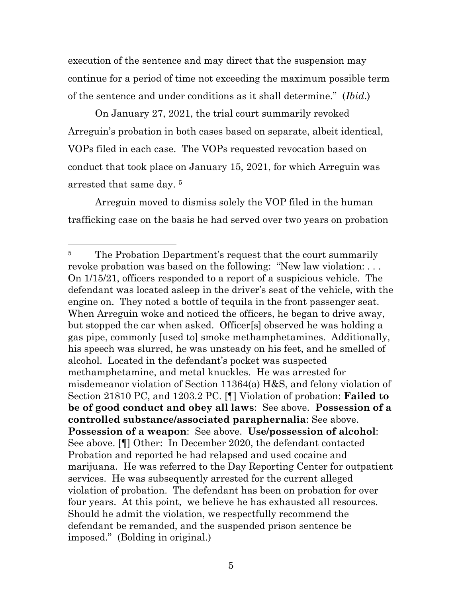execution of the sentence and may direct that the suspension may continue for a period of time not exceeding the maximum possible term of the sentence and under conditions as it shall determine." (*Ibid*.)

On January 27, 2021, the trial court summarily revoked Arreguin's probation in both cases based on separate, albeit identical, VOPs filed in each case. The VOPs requested revocation based on conduct that took place on January 15, 2021, for which Arreguin was arrested that same day. 5

Arreguin moved to dismiss solely the VOP filed in the human trafficking case on the basis he had served over two years on probation

<sup>&</sup>lt;sup>5</sup> The Probation Department's request that the court summarily revoke probation was based on the following: "New law violation: . . . On 1/15/21, officers responded to a report of a suspicious vehicle. The defendant was located asleep in the driver's seat of the vehicle, with the engine on. They noted a bottle of tequila in the front passenger seat. When Arreguin woke and noticed the officers, he began to drive away, but stopped the car when asked. Officer[s] observed he was holding a gas pipe, commonly [used to] smoke methamphetamines. Additionally, his speech was slurred, he was unsteady on his feet, and he smelled of alcohol. Located in the defendant's pocket was suspected methamphetamine, and metal knuckles. He was arrested for misdemeanor violation of Section 11364(a) H&S, and felony violation of Section 21810 PC, and 1203.2 PC. [¶] Violation of probation: **Failed to be of good conduct and obey all laws**: See above. **Possession of a controlled substance/associated paraphernalia**: See above. **Possession of a weapon**: See above. **Use/possession of alcohol**: See above. [¶] Other: In December 2020, the defendant contacted Probation and reported he had relapsed and used cocaine and marijuana. He was referred to the Day Reporting Center for outpatient services. He was subsequently arrested for the current alleged violation of probation. The defendant has been on probation for over four years. At this point, we believe he has exhausted all resources. Should he admit the violation, we respectfully recommend the defendant be remanded, and the suspended prison sentence be imposed." (Bolding in original.)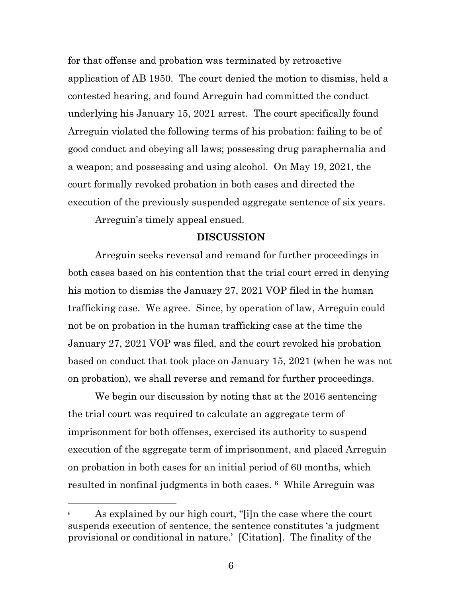for that offense and probation was terminated by retroactive application of AB 1950. The court denied the motion to dismiss, held a contested hearing, and found Arreguin had committed the conduct underlying his January 15, 2021 arrest. The court specifically found Arreguin violated the following terms of his probation: failing to be of good conduct and obeying all laws; possessing drug paraphernalia and a weapon; and possessing and using alcohol. On May 19, 2021, the court formally revoked probation in both cases and directed the execution of the previously suspended aggregate sentence of six years.

Arreguin's timely appeal ensued.

# **DISCUSSION**

Arreguin seeks reversal and remand for further proceedings in both cases based on his contention that the trial court erred in denying his motion to dismiss the January 27, 2021 VOP filed in the human trafficking case. We agree. Since, by operation of law, Arreguin could not be on probation in the human trafficking case at the time the January 27, 2021 VOP was filed, and the court revoked his probation based on conduct that took place on January 15, 2021 (when he was not on probation), we shall reverse and remand for further proceedings.

We begin our discussion by noting that at the 2016 sentencing the trial court was required to calculate an aggregate term of imprisonment for both offenses, exercised its authority to suspend execution of the aggregate term of imprisonment, and placed Arreguin on probation in both cases for an initial period of 60 months, which resulted in nonfinal judgments in both cases. <sup>6</sup> While Arreguin was

<sup>6</sup> As explained by our high court, "[i]n the case where the court suspends execution of sentence, the sentence constitutes 'a judgment provisional or conditional in nature.' [Citation]. The finality of the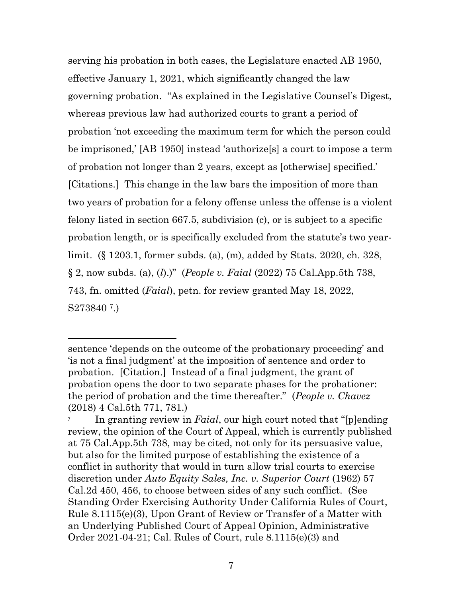serving his probation in both cases, the Legislature enacted AB 1950, effective January 1, 2021, which significantly changed the law governing probation. "As explained in the Legislative Counsel's Digest, whereas previous law had authorized courts to grant a period of probation 'not exceeding the maximum term for which the person could be imprisoned,' [AB 1950] instead 'authorize[s] a court to impose a term of probation not longer than 2 years, except as [otherwise] specified.' [Citations.] This change in the law bars the imposition of more than two years of probation for a felony offense unless the offense is a violent felony listed in section 667.5, subdivision (c), or is subject to a specific probation length, or is specifically excluded from the statute's two yearlimit. (§ 1203.1, former subds. (a), (m), added by Stats. 2020, ch. 328, § 2, now subds. (a), (*l*).)" (*People v. Faial* (2022) 75 Cal.App.5th 738, 743, fn. omitted (*Faial*), petn. for review granted May 18, 2022, S273840 <sup>7</sup>.)

sentence 'depends on the outcome of the probationary proceeding' and 'is not a final judgment' at the imposition of sentence and order to probation. [Citation.] Instead of a final judgment, the grant of probation opens the door to two separate phases for the probationer: the period of probation and the time thereafter." (*People v. Chavez* (2018) 4 Cal.5th 771, 781.)

<sup>7</sup> In granting review in *Faial*, our high court noted that "[p]ending review, the opinion of the Court of Appeal, which is currently published at 75 Cal.App.5th 738, may be cited, not only for its persuasive value, but also for the limited purpose of establishing the existence of a conflict in authority that would in turn allow trial courts to exercise discretion under *Auto Equity Sales, Inc. v. Superior Court* (1962) 57 Cal.2d 450, 456, to choose between sides of any such conflict. (See Standing Order Exercising Authority Under California Rules of Court, Rule 8.1115(e)(3), Upon Grant of Review or Transfer of a Matter with an Underlying Published Court of Appeal Opinion, Administrative Order 2021-04-21; Cal. Rules of Court, rule 8.1115(e)(3) and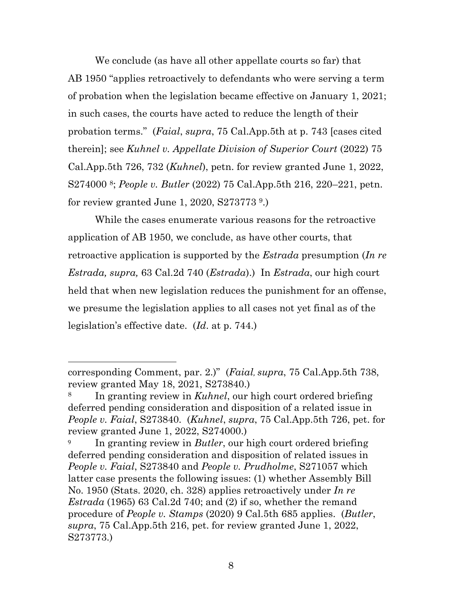We conclude (as have all other appellate courts so far) that AB 1950 "applies retroactively to defendants who were serving a term of probation when the legislation became effective on January 1, 2021; in such cases, the courts have acted to reduce the length of their probation terms." (*Faial*, *supra*, 75 Cal.App.5th at p. 743 [cases cited therein]; see *Kuhnel v. Appellate Division of Superior Court* (2022) 75 Cal.App.5th 726, 732 (*Kuhnel*), petn. for review granted June 1, 2022, S274000 <sup>8</sup>; *People v. Butler* (2022) 75 Cal.App.5th 216, 220–221, petn. for review granted June 1, 2020,  $S273773$ <sup>9</sup>.)

While the cases enumerate various reasons for the retroactive application of AB 1950, we conclude, as have other courts, that retroactive application is supported by the *Estrada* presumption (*In re Estrada, supra,* 63 Cal.2d 740 (*Estrada*).) In *Estrada*, our high court held that when new legislation reduces the punishment for an offense, we presume the legislation applies to all cases not yet final as of the legislation's effective date. (*Id*. at p. 744.)

corresponding Comment, par. 2.)" (*Faial*, *supra*, 75 Cal.App.5th 738, review granted May 18, 2021, S273840.)

<sup>8</sup> In granting review in *Kuhnel*, our high court ordered briefing deferred pending consideration and disposition of a related issue in *People v. Faial*, S273840. (*Kuhnel*, *supra*, 75 Cal.App.5th 726, pet. for review granted June 1, 2022, S274000.)

<sup>9</sup> In granting review in *Butler*, our high court ordered briefing deferred pending consideration and disposition of related issues in *People v. Faial*, S273840 and *People v. Prudholme*, S271057 which latter case presents the following issues: (1) whether Assembly Bill No. 1950 (Stats. 2020, ch. 328) applies retroactively under *In re Estrada* (1965) 63 Cal.2d 740; and (2) if so, whether the remand procedure of *People v. Stamps* (2020) 9 Cal.5th 685 applies. (*Butler*, *supra*, 75 Cal.App.5th 216, pet. for review granted June 1, 2022, S273773.)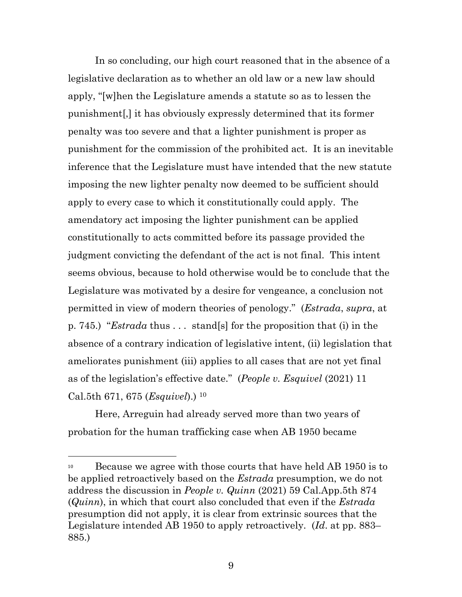In so concluding, our high court reasoned that in the absence of a legislative declaration as to whether an old law or a new law should apply, "[w]hen the Legislature amends a statute so as to lessen the punishment[,] it has obviously expressly determined that its former penalty was too severe and that a lighter punishment is proper as punishment for the commission of the prohibited act. It is an inevitable inference that the Legislature must have intended that the new statute imposing the new lighter penalty now deemed to be sufficient should apply to every case to which it constitutionally could apply. The amendatory act imposing the lighter punishment can be applied constitutionally to acts committed before its passage provided the judgment convicting the defendant of the act is not final. This intent seems obvious, because to hold otherwise would be to conclude that the Legislature was motivated by a desire for vengeance, a conclusion not permitted in view of modern theories of penology." (*Estrada*, *supra*, at p. 745.) "*Estrada* thus . . . stand[s] for the proposition that (i) in the absence of a contrary indication of legislative intent, (ii) legislation that ameliorates punishment (iii) applies to all cases that are not yet final as of the legislation's effective date." (*People v. Esquivel* (2021) 11 Cal.5th 671, 675 (*Esquivel*).) <sup>10</sup>

Here, Arreguin had already served more than two years of probation for the human trafficking case when AB 1950 became

<sup>&</sup>lt;sup>10</sup> Because we agree with those courts that have held AB 1950 is to be applied retroactively based on the *Estrada* presumption, we do not address the discussion in *People v. Quinn* (2021) 59 Cal.App.5th 874 (*Quinn*), in which that court also concluded that even if the *Estrada* presumption did not apply, it is clear from extrinsic sources that the Legislature intended AB 1950 to apply retroactively. (*Id*. at pp. 883– 885.)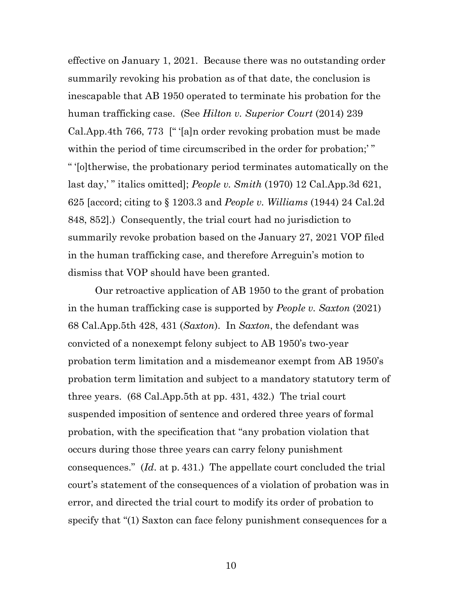effective on January 1, 2021. Because there was no outstanding order summarily revoking his probation as of that date, the conclusion is inescapable that AB 1950 operated to terminate his probation for the human trafficking case. (See *Hilton v. Superior Court* (2014) 239 Cal.App.4th 766, 773 [" '[a]n order revoking probation must be made within the period of time circumscribed in the order for probation;" " '[o]therwise, the probationary period terminates automatically on the last day,' " italics omitted]; *People v. Smith* (1970) 12 Cal.App.3d 621, 625 [accord; citing to § 1203.3 and *People v. Williams* (1944) 24 Cal.2d 848, 852].) Consequently, the trial court had no jurisdiction to summarily revoke probation based on the January 27, 2021 VOP filed in the human trafficking case, and therefore Arreguin's motion to dismiss that VOP should have been granted.

Our retroactive application of AB 1950 to the grant of probation in the human trafficking case is supported by *People v. Saxton* (2021) 68 Cal.App.5th 428, 431 (*Saxton*). In *Saxton*, the defendant was convicted of a nonexempt felony subject to AB 1950's two-year probation term limitation and a misdemeanor exempt from AB 1950's probation term limitation and subject to a mandatory statutory term of three years. (68 Cal.App.5th at pp. 431, 432.) The trial court suspended imposition of sentence and ordered three years of formal probation, with the specification that "any probation violation that occurs during those three years can carry felony punishment consequences." (*Id*. at p. 431.) The appellate court concluded the trial court's statement of the consequences of a violation of probation was in error, and directed the trial court to modify its order of probation to specify that "(1) Saxton can face felony punishment consequences for a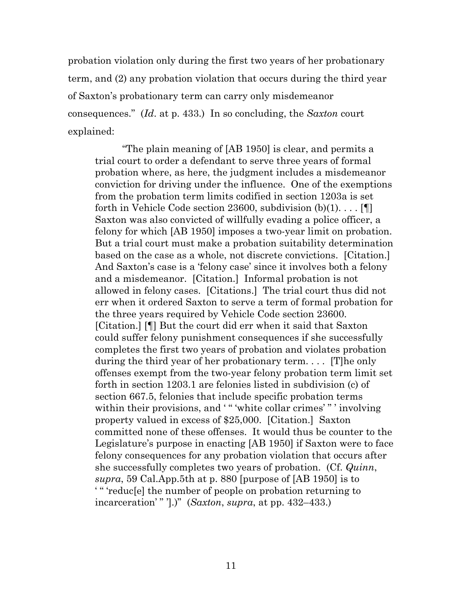probation violation only during the first two years of her probationary term, and (2) any probation violation that occurs during the third year of Saxton's probationary term can carry only misdemeanor consequences." (*Id*. at p. 433.) In so concluding, the *Saxton* court explained:

"The plain meaning of [AB 1950] is clear, and permits a trial court to order a defendant to serve three years of formal probation where, as here, the judgment includes a misdemeanor conviction for driving under the influence. One of the exemptions from the probation term limits codified in section 1203a is set forth in Vehicle Code section 23600, subdivision  $(b)(1)$ .... [ Saxton was also convicted of willfully evading a police officer, a felony for which [AB 1950] imposes a two-year limit on probation. But a trial court must make a probation suitability determination based on the case as a whole, not discrete convictions. [Citation.] And Saxton's case is a 'felony case' since it involves both a felony and a misdemeanor. [Citation.] Informal probation is not allowed in felony cases. [Citations.] The trial court thus did not err when it ordered Saxton to serve a term of formal probation for the three years required by Vehicle Code section 23600. [Citation.] [¶] But the court did err when it said that Saxton could suffer felony punishment consequences if she successfully completes the first two years of probation and violates probation during the third year of her probationary term. . . . [T]he only offenses exempt from the two-year felony probation term limit set forth in section 1203.1 are felonies listed in subdivision (c) of section 667.5, felonies that include specific probation terms within their provisions, and "" white collar crimes'" involving property valued in excess of \$25,000. [Citation.] Saxton committed none of these offenses. It would thus be counter to the Legislature's purpose in enacting [AB 1950] if Saxton were to face felony consequences for any probation violation that occurs after she successfully completes two years of probation. (Cf. *Quinn*, *supra*, 59 Cal.App.5th at p. 880 [purpose of [AB 1950] is to ' " 'reduc[e] the number of people on probation returning to incarceration' " '].)" (*Saxton*, *supra*, at pp. 432–433.)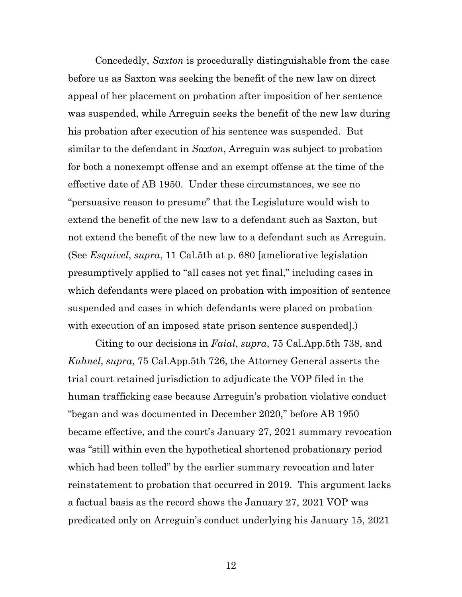Concededly, *Saxton* is procedurally distinguishable from the case before us as Saxton was seeking the benefit of the new law on direct appeal of her placement on probation after imposition of her sentence was suspended, while Arreguin seeks the benefit of the new law during his probation after execution of his sentence was suspended. But similar to the defendant in *Saxton*, Arreguin was subject to probation for both a nonexempt offense and an exempt offense at the time of the effective date of AB 1950. Under these circumstances, we see no "persuasive reason to presume" that the Legislature would wish to extend the benefit of the new law to a defendant such as Saxton, but not extend the benefit of the new law to a defendant such as Arreguin. (See *Esquivel*, *supra*, 11 Cal.5th at p. 680 [ameliorative legislation presumptively applied to "all cases not yet final," including cases in which defendants were placed on probation with imposition of sentence suspended and cases in which defendants were placed on probation with execution of an imposed state prison sentence suspended.)

Citing to our decisions in *Faial*, *supra*, 75 Cal.App.5th 738, and *Kuhnel*, *supra*, 75 Cal.App.5th 726, the Attorney General asserts the trial court retained jurisdiction to adjudicate the VOP filed in the human trafficking case because Arreguin's probation violative conduct "began and was documented in December 2020," before AB 1950 became effective, and the court's January 27, 2021 summary revocation was "still within even the hypothetical shortened probationary period which had been tolled" by the earlier summary revocation and later reinstatement to probation that occurred in 2019. This argument lacks a factual basis as the record shows the January 27, 2021 VOP was predicated only on Arreguin's conduct underlying his January 15, 2021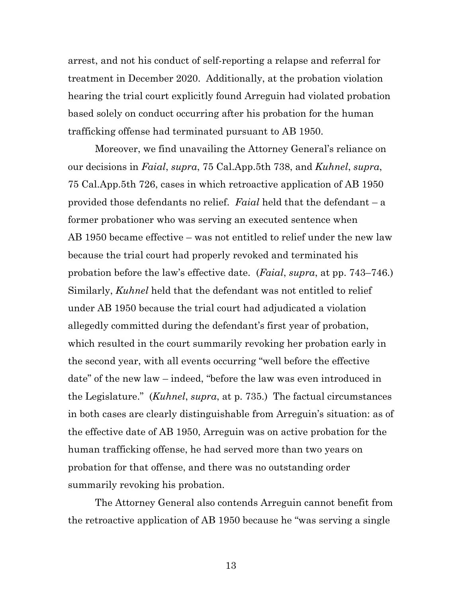arrest, and not his conduct of self-reporting a relapse and referral for treatment in December 2020. Additionally, at the probation violation hearing the trial court explicitly found Arreguin had violated probation based solely on conduct occurring after his probation for the human trafficking offense had terminated pursuant to AB 1950.

Moreover, we find unavailing the Attorney General's reliance on our decisions in *Faial*, *supra*, 75 Cal.App.5th 738, and *Kuhnel*, *supra*, 75 Cal.App.5th 726, cases in which retroactive application of AB 1950 provided those defendants no relief. *Faial* held that the defendant – a former probationer who was serving an executed sentence when AB 1950 became effective – was not entitled to relief under the new law because the trial court had properly revoked and terminated his probation before the law's effective date. (*Faial*, *supra*, at pp. 743–746.) Similarly, *Kuhnel* held that the defendant was not entitled to relief under AB 1950 because the trial court had adjudicated a violation allegedly committed during the defendant's first year of probation, which resulted in the court summarily revoking her probation early in the second year, with all events occurring "well before the effective date" of the new law – indeed, "before the law was even introduced in the Legislature." (*Kuhnel*, *supra*, at p. 735.) The factual circumstances in both cases are clearly distinguishable from Arreguin's situation: as of the effective date of AB 1950, Arreguin was on active probation for the human trafficking offense, he had served more than two years on probation for that offense, and there was no outstanding order summarily revoking his probation.

The Attorney General also contends Arreguin cannot benefit from the retroactive application of AB 1950 because he "was serving a single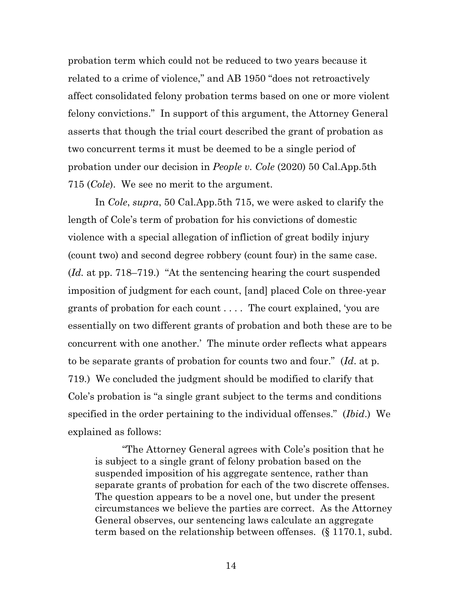probation term which could not be reduced to two years because it related to a crime of violence," and AB 1950 "does not retroactively affect consolidated felony probation terms based on one or more violent felony convictions." In support of this argument, the Attorney General asserts that though the trial court described the grant of probation as two concurrent terms it must be deemed to be a single period of probation under our decision in *People v. Cole* (2020) 50 Cal.App.5th 715 (*Cole*). We see no merit to the argument.

In *Cole*, *supra*, 50 Cal.App.5th 715, we were asked to clarify the length of Cole's term of probation for his convictions of domestic violence with a special allegation of infliction of great bodily injury (count two) and second degree robbery (count four) in the same case. (*Id.* at pp. 718–719.) "At the sentencing hearing the court suspended imposition of judgment for each count, [and] placed Cole on three-year grants of probation for each count . . . . The court explained, 'you are essentially on two different grants of probation and both these are to be concurrent with one another.' The minute order reflects what appears to be separate grants of probation for counts two and four." (*Id*. at p. 719.) We concluded the judgment should be modified to clarify that Cole's probation is "a single grant subject to the terms and conditions specified in the order pertaining to the individual offenses." (*Ibid*.) We explained as follows:

"The Attorney General agrees with Cole's position that he is subject to a single grant of felony probation based on the suspended imposition of his aggregate sentence, rather than separate grants of probation for each of the two discrete offenses. The question appears to be a novel one, but under the present circumstances we believe the parties are correct. As the Attorney General observes, our sentencing laws calculate an aggregate term based on the relationship between offenses. (§ 1170.1, subd.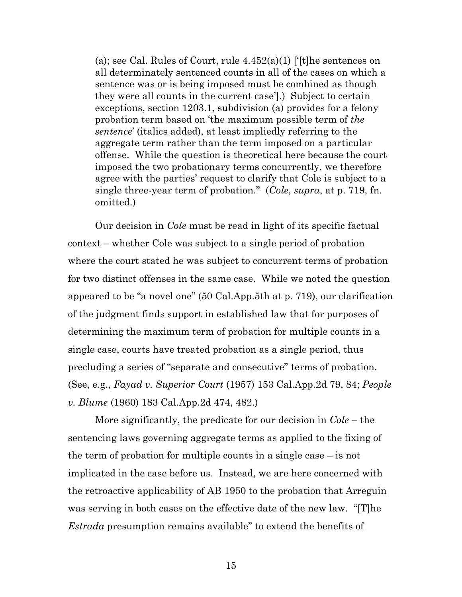(a); see Cal. Rules of Court, rule  $4.452(a)(1)$  ['[t]he sentences on all determinately sentenced counts in all of the cases on which a sentence was or is being imposed must be combined as though they were all counts in the current case'].) Subject to certain exceptions, section 1203.1, subdivision (a) provides for a felony probation term based on 'the maximum possible term of *the sentence*' (italics added), at least impliedly referring to the aggregate term rather than the term imposed on a particular offense. While the question is theoretical here because the court imposed the two probationary terms concurrently, we therefore agree with the parties' request to clarify that Cole is subject to a single three-year term of probation." (*Cole*, *supra*, at p. 719, fn. omitted.)

Our decision in *Cole* must be read in light of its specific factual context – whether Cole was subject to a single period of probation where the court stated he was subject to concurrent terms of probation for two distinct offenses in the same case. While we noted the question appeared to be "a novel one" (50 Cal.App.5th at p. 719), our clarification of the judgment finds support in established law that for purposes of determining the maximum term of probation for multiple counts in a single case, courts have treated probation as a single period, thus precluding a series of "separate and consecutive" terms of probation. (See, e.g., *Fayad v. Superior Court* (1957) 153 Cal.App.2d 79, 84; *People v. Blume* (1960) 183 Cal.App.2d 474, 482.)

More significantly, the predicate for our decision in *Cole* – the sentencing laws governing aggregate terms as applied to the fixing of the term of probation for multiple counts in a single case – is not implicated in the case before us. Instead, we are here concerned with the retroactive applicability of AB 1950 to the probation that Arreguin was serving in both cases on the effective date of the new law. "[T]he *Estrada* presumption remains available" to extend the benefits of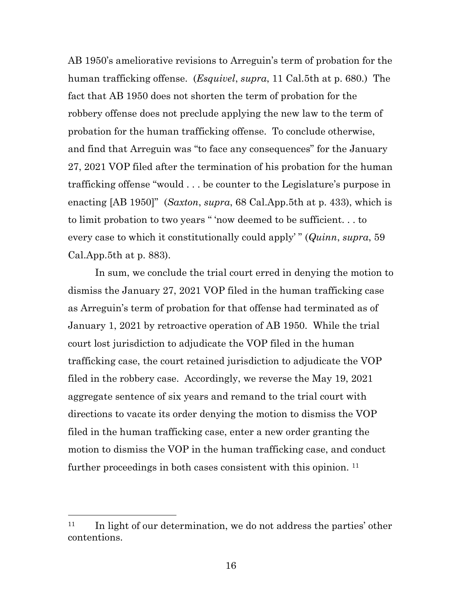AB 1950's ameliorative revisions to Arreguin's term of probation for the human trafficking offense. (*Esquivel*, *supra*, 11 Cal.5th at p. 680.) The fact that AB 1950 does not shorten the term of probation for the robbery offense does not preclude applying the new law to the term of probation for the human trafficking offense. To conclude otherwise, and find that Arreguin was "to face any consequences" for the January 27, 2021 VOP filed after the termination of his probation for the human trafficking offense "would . . . be counter to the Legislature's purpose in enacting [AB 1950]" (*Saxton*, *supra*, 68 Cal.App.5th at p. 433), which is to limit probation to two years " 'now deemed to be sufficient. . . to every case to which it constitutionally could apply' " (*Quinn*, *supra*, 59 Cal.App.5th at p. 883).

In sum, we conclude the trial court erred in denying the motion to dismiss the January 27, 2021 VOP filed in the human trafficking case as Arreguin's term of probation for that offense had terminated as of January 1, 2021 by retroactive operation of AB 1950. While the trial court lost jurisdiction to adjudicate the VOP filed in the human trafficking case, the court retained jurisdiction to adjudicate the VOP filed in the robbery case. Accordingly, we reverse the May 19, 2021 aggregate sentence of six years and remand to the trial court with directions to vacate its order denying the motion to dismiss the VOP filed in the human trafficking case, enter a new order granting the motion to dismiss the VOP in the human trafficking case, and conduct further proceedings in both cases consistent with this opinion.<sup>11</sup>

<sup>&</sup>lt;sup>11</sup> In light of our determination, we do not address the parties' other contentions.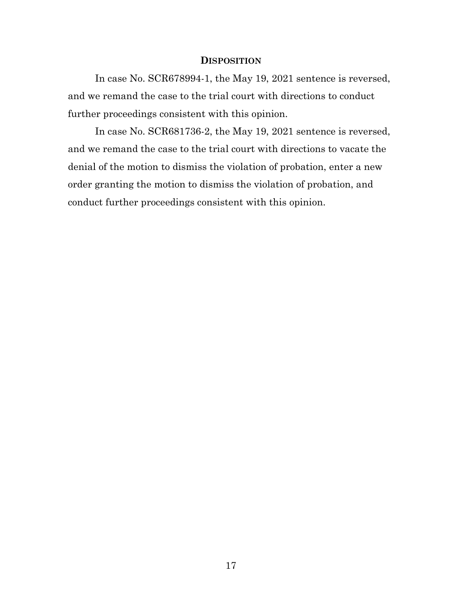#### **DISPOSITION**

In case No. SCR678994-1, the May 19, 2021 sentence is reversed, and we remand the case to the trial court with directions to conduct further proceedings consistent with this opinion.

In case No. SCR681736-2, the May 19, 2021 sentence is reversed, and we remand the case to the trial court with directions to vacate the denial of the motion to dismiss the violation of probation, enter a new order granting the motion to dismiss the violation of probation, and conduct further proceedings consistent with this opinion.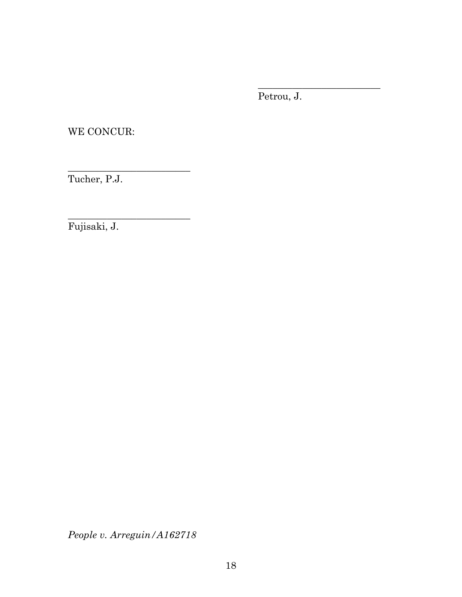Petrou, J.

\_\_\_\_\_\_\_\_\_\_\_\_\_\_\_\_\_\_\_\_\_\_\_\_\_

WE CONCUR:

\_\_\_\_\_\_\_\_\_\_\_\_\_\_\_\_\_\_\_\_\_\_\_\_\_

\_\_\_\_\_\_\_\_\_\_\_\_\_\_\_\_\_\_\_\_\_\_\_\_\_

Tucher, P.J.

Fujisaki, J.

*People v. Arreguin/A162718*